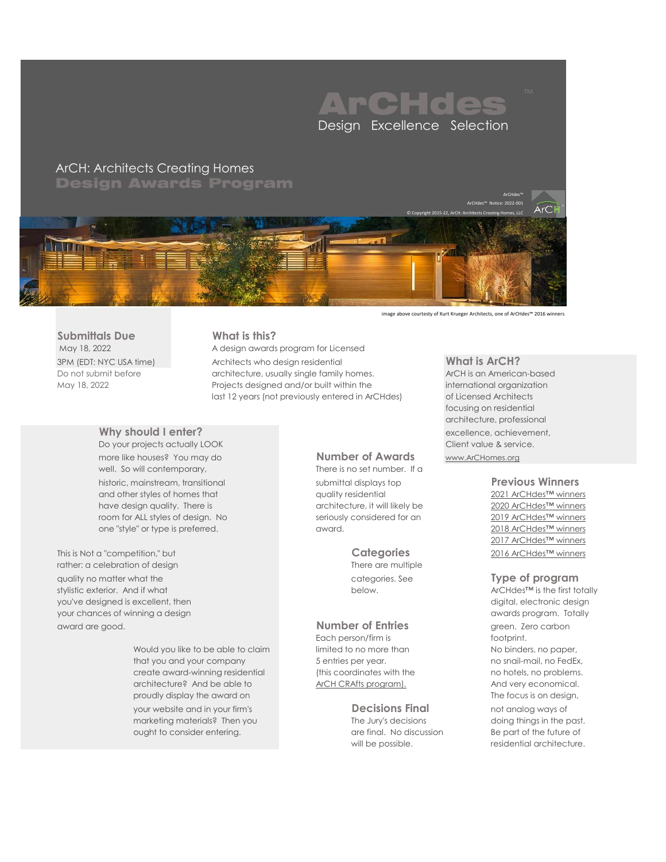

**Submittals Due What is this?**

more like houses? You may do **Number of Awards** [www.ArCHomes.org](http://www.archomes.org/) well. So will contemporary, There is no set number. If a historic, mainstream, transitional submittal displays top **Previous Winners** and other styles of homes that quality residential [2021 ArCHdes™ winners](https://www.archomes.org/archdes-2021-awards) have design quality. There is architecture, it will likely be [2020 ArCHdes™ winners](https://www.archomes.org/archdes-2020-awards) room for ALL styles of design. No seriously considered for an [2019 ArCHdes™ winners](https://www.archomes.org/archdes-2019-awards) one "style" or type is preferred. award. [2018 ArCHdes™ winners](https://www.archomes.org/archdes-2018-awards)

This is Not a "competition," but **Categories** [2016 ArCHdes™ winners](http://www.archomes.org/archdes-2016-award-winners) rather: a celebration of design There are multiple quality no matter what the categories. See **Type of program** stylistic exterior. And if what **below** below. ArCHdes™ is the first totally you've designed is excellent, then digital, electronic design and the digital, electronic design your chances of winning a design and the state of the state of the state of the state of the state of the state of the state of the state of the state of the state of the state of the state of the state of the state of the award are good. **Number of Entries** green. Zero carbon

> Would you like to be able to claim limited to no more than No binders, no paper, that you and your company that you and your company that  $5$  entries per year. The snapil-mail, no FedEx, create award-winning residential (this coordinates with the no hotels, no problems. architecture? And be able to [ArCH CRAfts program\).](https://www.archomes.org/certified-residential-architect-program) And very economical. proudly display the award on The focus is on design, your website and in your firm's **Decisions Final** not analog ways of marketing materials? Then you The Jury's decisions doing things in the past. ought to consider entering. The state of the future of the future of the future of the future of

May 18, 2022 A design awards program for Licensed 3PM (EDT: NYC USA time) Architects who design residential **What is ArCH?** Do not submit before **architecture**, usually single family homes. ArCH is an American-based May 18, 2022 **Projects designed and/or built within the international organization** last 12 years (not previously entered in ArCHdes) of Licensed Architects

Each person/firm is footprint.

will be possible. The presidential architecture.

focusing on residential architecture, professional **Why should I enter?** excellence, achievement, Do your projects actually LOOK Client value & service.

[2017 ArCHdes™ winners](https://www.archomes.org/archdes-2017-award-winners)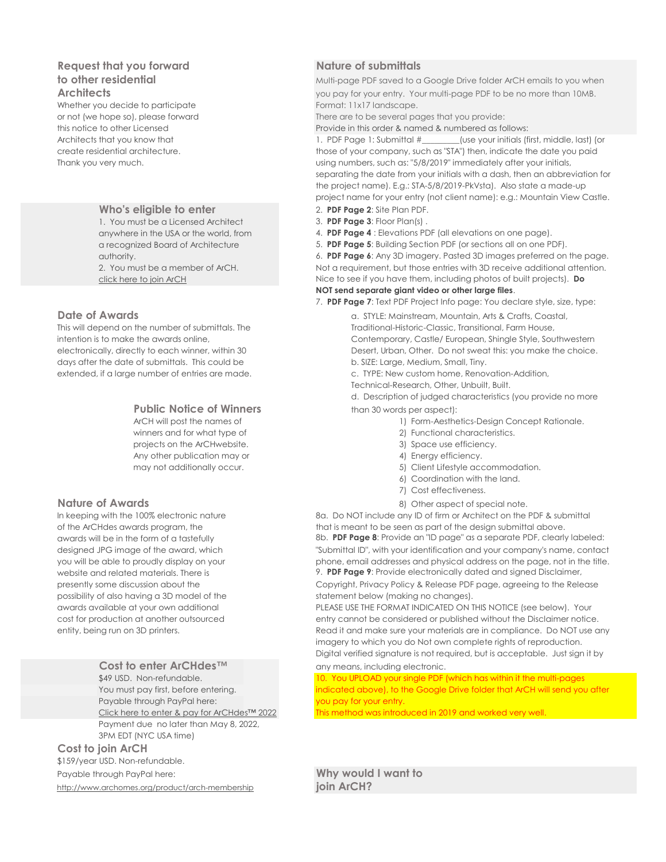# **Request that you forward <b>Nature of submittals**

Whether you decide to participate Format: 11x17 landscape.

1. You must be a Licensed Architect 3. PDF Page 3: Floor Plan(s).

days after the date of submittals. This could be b. SIZE: Large, Medium, Small, Tiny.

# **Public Notice of Winners** than 30 words per aspect):

winners and for what type of 2) Functional characteristics. projects on the ArCHwebsite.  $\sim$  3) Space use efficiency. Any other publication may or  $\sim$  4) Energy efficiency.

possibility of also having a 3D model of the statement below (making no changes).

### Cost to enter ArCHdes<sup>™</sup> any means, including electronic.

Payable through PayPal here: you pay for your entry. Payment due no later than May 8, 2022, 3PM EDT (NYC USA time)

# **Cost to join ArCH**

\$159/year USD. Non-refundable.

<http://www.archomes.org/product/arch-membership> **join ArCH?**

**to other residential** and **the same of the Multi-page PDF** saved to a Google Drive folder ArCH emails to you when **Architects** and the state of the state of your pay for your entry. Your multi-page PDF to be no more than 10MB.

or not (we hope so), please forward There are to be several pages that you provide:

this notice to other Licensed **Provide in this order & named & numbered as follows:** 

Architects that you know that 1. PDF Page 1: Submittal #\_\_\_\_\_\_\_\_(use your initials (first, middle, last) (or create residential architecture. those of your company, such as "STA") then, indicate the date you paid Thank you very much. using numbers, such as: "5/8/2019" immediately after your initials, separating the date from your initials with a dash, then an abbreviation for the project name). E.g.: STA-5/8/2019-PkVsta). Also state a made-up project name for your entry (not client name): e.g.: Mountain View Castle.

- **Who's eligible to enter** 2. **PDF Page 2**: Site Plan PDF.
	-
- anywhere in the USA or the world, from 4. **PDF Page 4** : Elevations PDF (all elevations on one page).
- a recognized Board of Architecture 5. **PDF Page 5**: Building Section PDF (or sections all on one PDF).

authority. 6. **PDF Page 6**: Any 3D imagery. Pasted 3D images preferred on the page. 2. You must be a member of ArCH. Not a requirement, but those entries with 3D receive additional attention. [click here to join ArCH](http://www.archomes.org/product/arch-membership) Nice to see if you have them, including photos of built projects). **Do NOT send separate giant video or other large files**.

7. **PDF Page 7**: Text PDF Project Info page: You declare style, size, type:

**Date of Awards** and a strike and a strike and a strike and a strike and a strike and mountain, Arts & Crafts, Coastal, This will depend on the number of submittals. The Traditional-Historic-Classic, Transitional, Farm House, intention is to make the awards online, and the contemporary, Castle/ European, Shingle Style, Southwestern electronically, directly to each winner, within 30 Desert, Urban, Other. Do not sweat this: you make the choice.

extended, if a large number of entries are made. c. TYPE: New custom home, Renovation-Addition,

Technical-Research, Other, Unbuilt, Built.

d. Description of judged characteristics (you provide no more

- ArCH will post the names of 1) Form-Aesthetics-Design Concept Rationale.
	-
	-
	-
- may not additionally occur. The same state of the state of the SI Client Lifestyle accommodation.
	- 6) Coordination with the land.
	- 7) Cost effectiveness.
- **Nature of Awards** 8) Other aspect of special note.

In keeping with the 100% electronic nature 8a. Do NOT include any ID of firm or Architect on the PDF & submittal of the ArCHdes awards program, the that is meant to be seen as part of the design submittal above. awards will be in the form of a tastefully 8b. **PDF Page 8**: Provide an "ID page" as a separate PDF, clearly labeled: designed JPG image of the award, which "Submittal ID", with your identification and your company's name, contact you will be able to proudly display on your phone, email addresses and physical address on the page, not in the title. website and related materials. There is 9. **PDF Page 9**: Provide electronically dated and signed Disclaimer,

presently some discussion about the Copyright, Privacy Policy & Release PDF page, agreeing to the Release

awards available at your own additional PLEASE USE THE FORMAT INDICATED ON THIS NOTICE (see below). Your cost for production at another outsourced entry cannot be considered or published without the Disclaimer notice. entity, being run on 3D printers. The sure your materials are in compliance. Do NOT use any imagery to which you do Not own complete rights of reproduction. Digital verified signature is not required, but is acceptable. Just sign it by

\$49 USD. Non-refundable. 10. You UPLOAD your single PDF (which has within it the multi-pages You must pay first, before entering. indicated above), to the Google Drive folder that ArCH will send you after

[Click here to enter & pay for ArCHdes™ 2022](https://www.archomes.org/product/archdes-design-award-entry-fee) This method was introduced in 2019 and worked very well.

Payable through PayPal here: **Why would I want to**